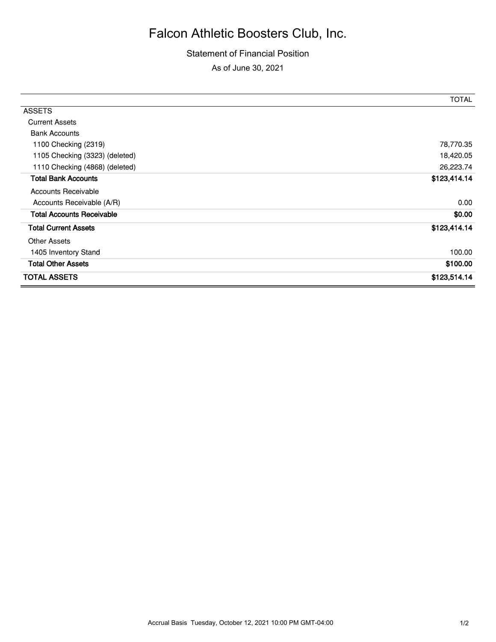## Falcon Athletic Boosters Club, Inc.

## Statement of Financial Position As of June 30, 2021

|                                  | <b>TOTAL</b> |
|----------------------------------|--------------|
| <b>ASSETS</b>                    |              |
| <b>Current Assets</b>            |              |
| <b>Bank Accounts</b>             |              |
| 1100 Checking (2319)             | 78,770.35    |
| 1105 Checking (3323) (deleted)   | 18,420.05    |
| 1110 Checking (4868) (deleted)   | 26,223.74    |
| <b>Total Bank Accounts</b>       | \$123,414.14 |
| Accounts Receivable              |              |
| Accounts Receivable (A/R)        | 0.00         |
| <b>Total Accounts Receivable</b> | \$0.00       |
| <b>Total Current Assets</b>      | \$123,414.14 |
| <b>Other Assets</b>              |              |
| 1405 Inventory Stand             | 100.00       |
| <b>Total Other Assets</b>        | \$100.00     |
| <b>TOTAL ASSETS</b>              | \$123,514.14 |